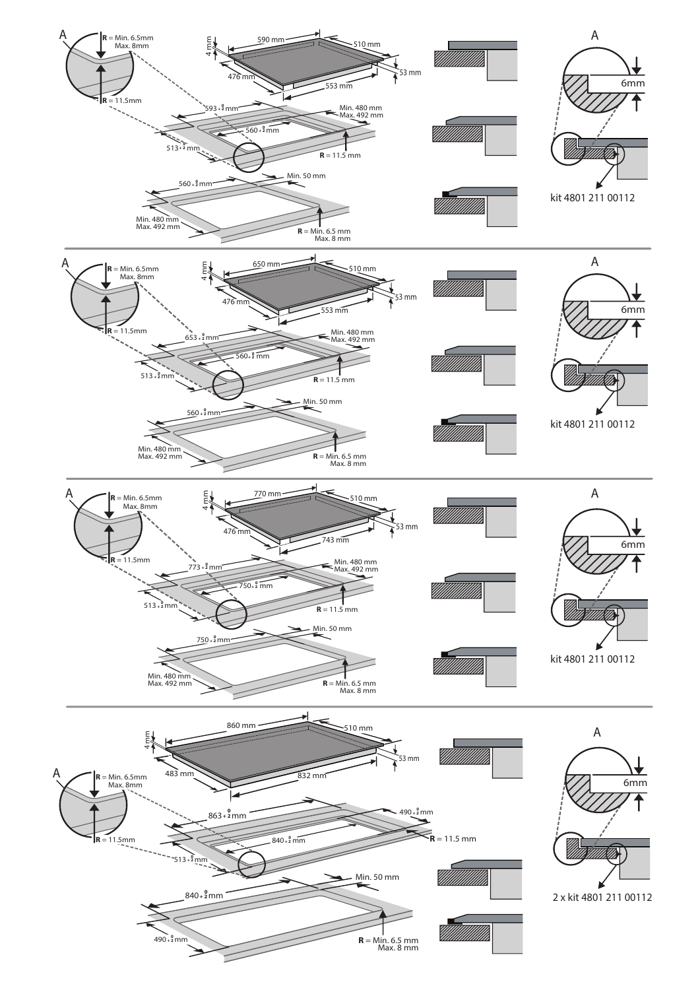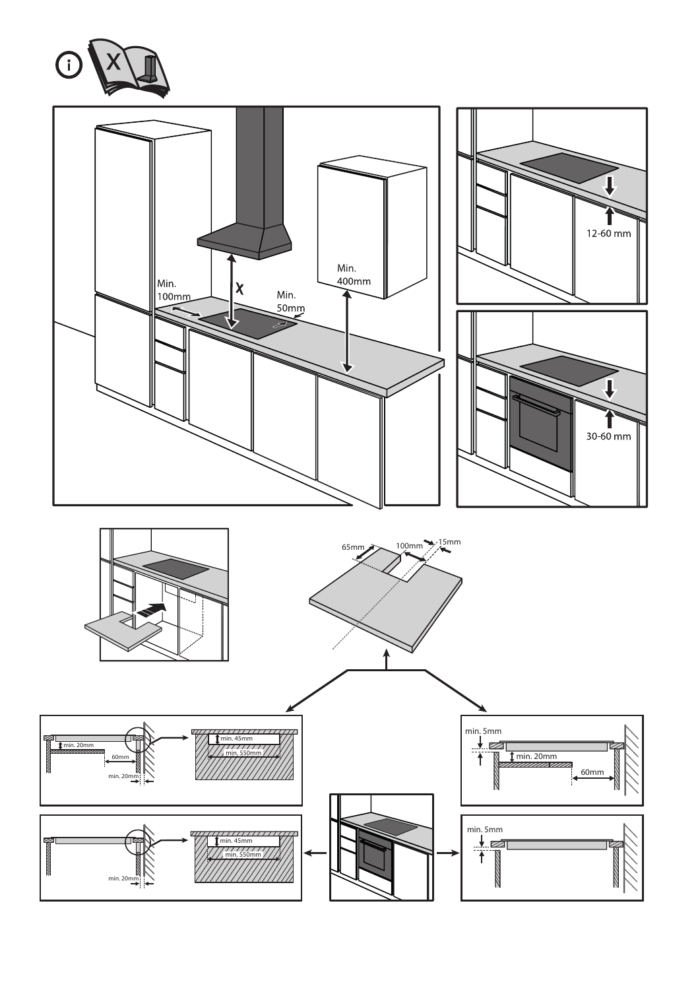

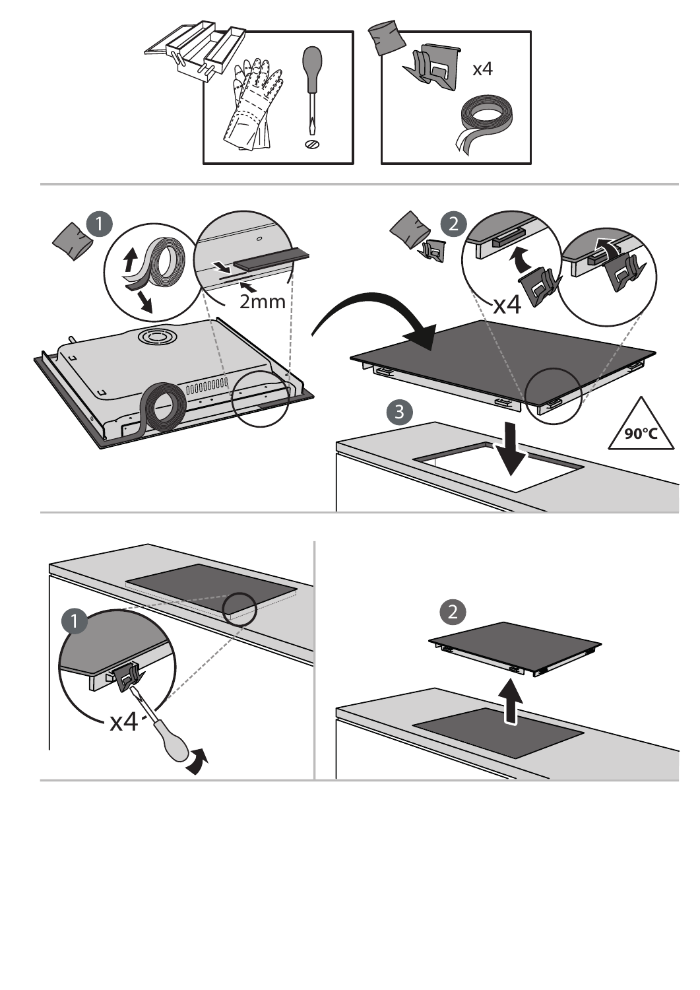



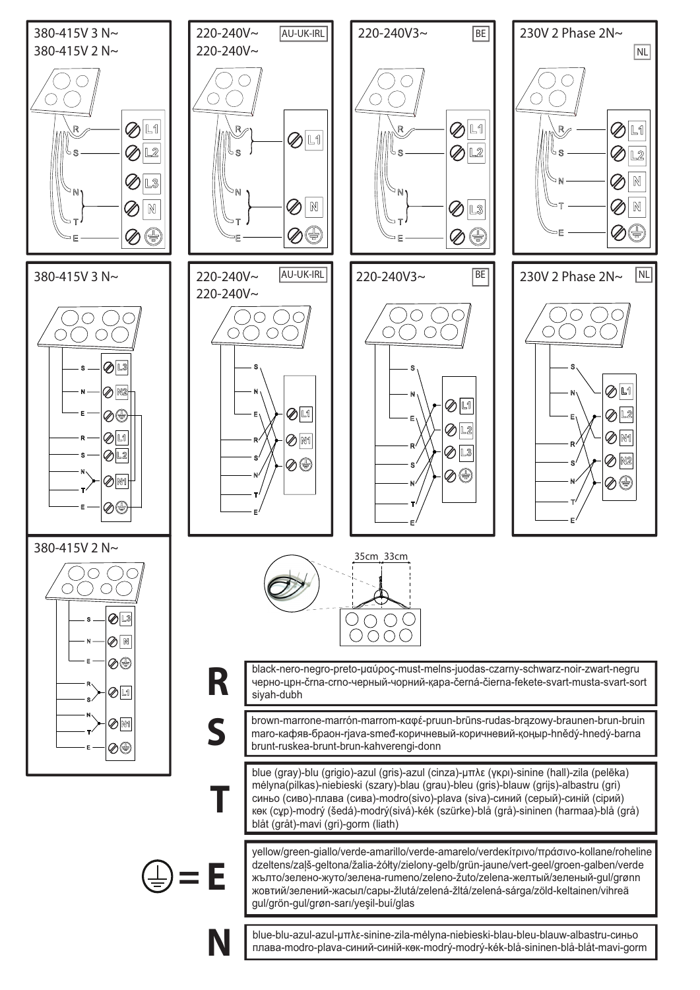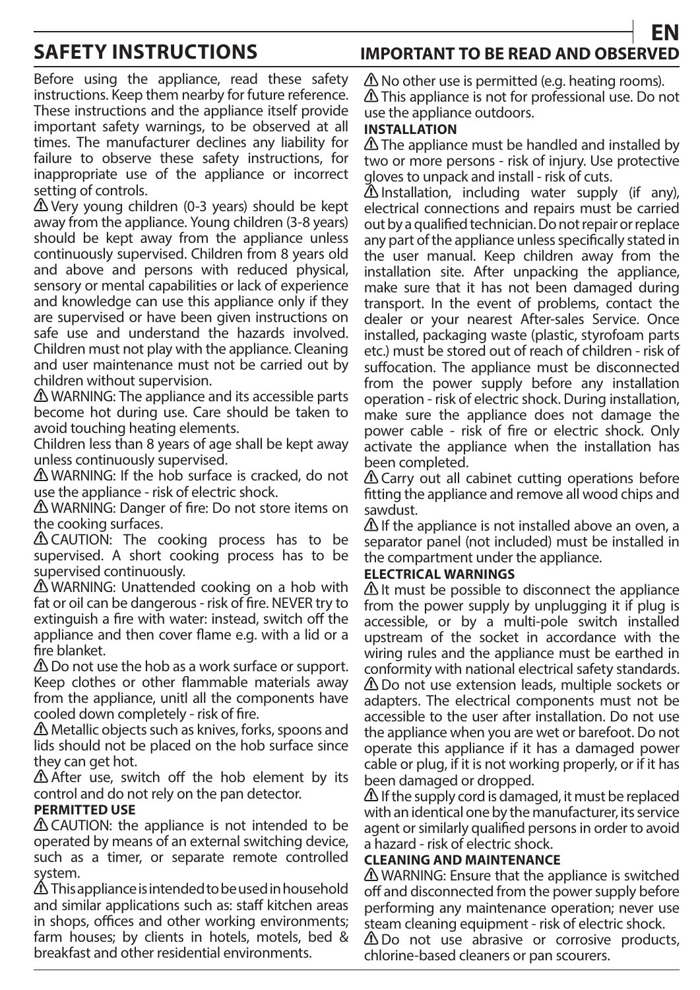Before using the appliance, read these safety instructions. Keep them nearby for future reference. These instructions and the appliance itself provide important safety warnings, to be observed at all times. The manufacturer declines any liability for failure to observe these safety instructions, for inappropriate use of the appliance or incorrect setting of controls.

Very young children (0-3 years) should be kept away from the appliance. Young children (3-8 years) should be kept away from the appliance unless continuously supervised. Children from 8 years old and above and persons with reduced physical, sensory or mental capabilities or lack of experience and knowledge can use this appliance only if they are supervised or have been given instructions on safe use and understand the hazards involved. Children must not play with the appliance. Cleaning and user maintenance must not be carried out by children without supervision.

**△ WARNING:** The appliance and its accessible parts become hot during use. Care should be taken to avoid touching heating elements.

Children less than 8 years of age shall be kept away unless continuously supervised.

WARNING: If the hob surface is cracked, do not use the appliance - risk of electric shock.

WARNING: Danger of fire: Do not store items on the cooking surfaces.

**A** CAUTION: The cooking process has to be supervised. A short cooking process has to be supervised continuously.

WARNING: Unattended cooking on a hob with fat or oil can be dangerous - risk of fire. NEVER try to extinguish a fire with water: instead, switch off the appliance and then cover flame e.g. with a lid or a fire blanket.

 $\triangle$  Do not use the hob as a work surface or support. Keep clothes or other flammable materials away from the appliance, unitl all the components have cooled down completely - risk of fire.

Metallic objects such as knives, forks, spoons and lids should not be placed on the hob surface since they can get hot.

After use, switch off the hob element by its control and do not rely on the pan detector.

# **PERMITTED USE**

**A** CAUTION: the appliance is not intended to be operated by means of an external switching device, such as a timer, or separate remote controlled system.

 $\triangle$  This appliance is intended to be used in household and similar applications such as: staff kitchen areas in shops, offices and other working environments; farm houses; by clients in hotels, motels, bed & breakfast and other residential environments.

# **SAFETY INSTRUCTIONS IMPORTANT TO BE READ AND OBSERVED EN**

 $\Delta$  No other use is permitted (e.g. heating rooms). **A** This appliance is not for professional use. Do not use the appliance outdoors.

#### **INSTALLATION**

 $\triangle$  The appliance must be handled and installed by two or more persons - risk of injury. Use protective gloves to unpack and install - risk of cuts.

 $\triangle$  Installation, including water supply (if any), electrical connections and repairs must be carried out by a qualified technician. Do not repair or replace any part of the appliance unless specifically stated in the user manual. Keep children away from the installation site. After unpacking the appliance, make sure that it has not been damaged during transport. In the event of problems, contact the dealer or your nearest After-sales Service. Once installed, packaging waste (plastic, styrofoam parts etc.) must be stored out of reach of children - risk of suffocation. The appliance must be disconnected from the power supply before any installation operation - risk of electric shock. During installation, make sure the appliance does not damage the power cable - risk of fire or electric shock. Only activate the appliance when the installation has been completed.

 $\triangle$  Carry out all cabinet cutting operations before fitting the appliance and remove all wood chips and sawdust.

 $\Delta$  If the appliance is not installed above an oven, a separator panel (not included) must be installed in the compartment under the appliance.

# **ELECTRICAL WARNINGS**

 $\Delta$  It must be possible to disconnect the appliance from the power supply by unplugging it if plug is accessible, or by a multi-pole switch installed upstream of the socket in accordance with the wiring rules and the appliance must be earthed in conformity with national electrical safety standards. Do not use extension leads, multiple sockets or adapters. The electrical components must not be accessible to the user after installation. Do not use the appliance when you are wet or barefoot. Do not operate this appliance if it has a damaged power cable or plug, if it is not working properly, or if it has been damaged or dropped.

 $\triangle$  If the supply cord is damaged, it must be replaced with an identical one by the manufacturer, its service agent or similarly qualified persons in order to avoid a hazard - risk of electric shock.

# **CLEANING AND MAINTENANCE**

WARNING: Ensure that the appliance is switched off and disconnected from the power supply before performing any maintenance operation; never use steam cleaning equipment - risk of electric shock.

 $\triangle$  Do not use abrasive or corrosive products, chlorine-based cleaners or pan scourers.